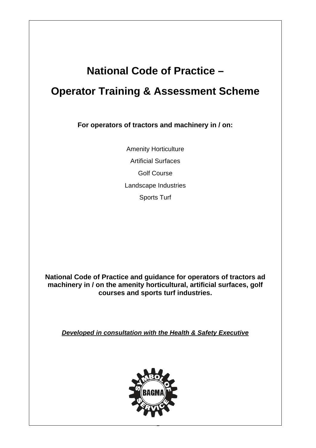# **National Code of Practice –**

## **Operator Training & Assessment Scheme**

**For operators of tractors and machinery in / on:**

Amenity Horticulture Artificial Surfaces Golf Course Landscape Industries Sports Turf

**National Code of Practice and guidance for operators of tractors ad machinery in / on the amenity horticultural, artificial surfaces, golf courses and sports turf industries.**

*Developed in consultation with the Health & Safety Executive*



1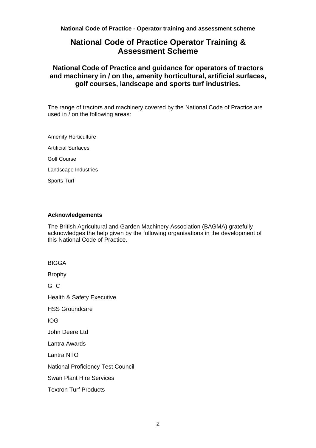## **National Code of Practice Operator Training & Assessment Scheme**

## **National Code of Practice and guidance for operators of tractors and machinery in / on the, amenity horticultural, artificial surfaces, golf courses, landscape and sports turf industries.**

The range of tractors and machinery covered by the National Code of Practice are used in  $\overline{\prime}$  on the following areas:

Amenity Horticulture Artificial Surfaces Golf Course Landscape Industries Sports Turf

#### **Acknowledgements**

The British Agricultural and Garden Machinery Association (BAGMA) gratefully acknowledges the help given by the following organisations in the development of this National Code of Practice.

BIGGA Brophy GTC Health & Safety Executive HSS Groundcare IOG John Deere Ltd Lantra Awards Lantra NTO National Proficiency Test Council Swan Plant Hire Services Textron Turf Products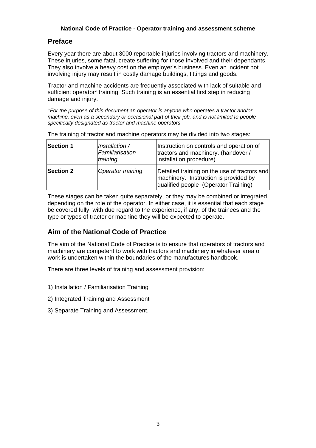## **Preface**

Every year there are about 3000 reportable injuries involving tractors and machinery. These injuries, some fatal, create suffering for those involved and their dependants. They also involve a heavy cost on the employer's business. Even an incident not involving injury may result in costly damage buildings, fittings and goods.

Tractor and machine accidents are frequently associated with lack of suitable and sufficient operator\* training. Such training is an essential first step in reducing damage and injury.

*\*For the purpose of this document an operator is anyone who operates a tractor and/or machine, even as a secondary or occasional part of their job, and is not limited to people specifically designated as tractor and machine operators* 

| <b>Section 1</b> | Installation /<br>Familiarisation<br>training | Instruction on controls and operation of<br>tractors and machinery. (handover /<br>installation procedure)                    |
|------------------|-----------------------------------------------|-------------------------------------------------------------------------------------------------------------------------------|
| <b>Section 2</b> | Operator training                             | Detailed training on the use of tractors and<br>machinery. Instruction is provided by<br>qualified people (Operator Training) |

The training of tractor and machine operators may be divided into two stages:

These stages can be taken quite separately, or they may be combined or integrated depending on the role of the operator. In either case, it is essential that each stage be covered fully, with due regard to the experience, if any, of the trainees and the type or types of tractor or machine they will be expected to operate.

## **Aim of the National Code of Practice**

The aim of the National Code of Practice is to ensure that operators of tractors and machinery are competent to work with tractors and machinery in whatever area of work is undertaken within the boundaries of the manufactures handbook.

There are three levels of training and assessment provision:

- 1) Installation / Familiarisation Training
- 2) Integrated Training and Assessment
- 3) Separate Training and Assessment.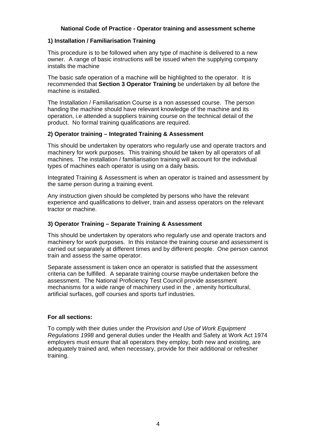#### **1) Installation / Familiarisation Training**

This procedure is to be followed when any type of machine is delivered to a new owner. A range of basic instructions will be issued when the supplying company installs the machine

The basic safe operation of a machine will be highlighted to the operator. It is recommended that **Section 3 Operator Training** be undertaken by all before the machine is installed.

The Installation / Familiarisation Course is a non assessed course. The person handing the machine should have relevant knowledge of the machine and its operation, i.e attended a suppliers training course on the technical detail of the product. No formal training qualifications are required.

#### **2) Operator training – Integrated Training & Assessment**

This should be undertaken by operators who regularly use and operate tractors and machinery for work purposes. This training should be taken by all operators of all machines. The installation / familiarisation training will account for the individual types of machines each operator is using on a daily basis.

Integrated Training & Assessment is when an operator is trained and assessment by the same person during a training event.

Any instruction given should be completed by persons who have the relevant experience and qualifications to deliver, train and assess operators on the relevant tractor or machine.

#### **3) Operator Training – Separate Training & Assessment**

This should be undertaken by operators who regularly use and operate tractors and machinery for work purposes. In this instance the training course and assessment is carried out separately at different times and by different people. One person cannot train and assess the same operator.

Separate assessment is taken once an operator is satisfied that the assessment criteria can be fulfilled. A separate training course maybe undertaken before the assessment. The National Proficiency Test Council provide assessment mechanisms for a wide range of machinery used in the , amenity horticultural, artificial surfaces, golf courses and sports turf industries.

#### **For all sections:**

To comply with their duties under the *Provision and Use of Work Equipment Regulations 1998* and general duties under the Health and Safety at Work Act 1974 employers must ensure that all operators they employ, both new and existing, are adequately trained and, when necessary, provide for their additional or refresher training.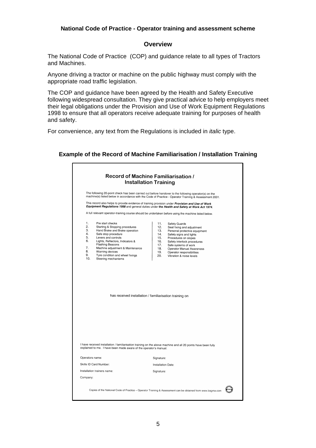#### **Overview**

The National Code of Practice (COP) and guidance relate to all types of Tractors and Machines.

Anyone driving a tractor or machine on the public highway must comply with the appropriate road traffic legislation.

The COP and guidance have been agreed by the Health and Safety Executive following widespread consultation. They give practical advice to help employers meet their legal obligations under the Provision and Use of Work Equipment Regulations 1998 to ensure that all operators receive adequate training for purposes of health and safety.

For convenience, any text from the Regulations is included in *italic* type.

#### **Example of the Record of Machine Familiarisation / Installation Training**

| The following 20-point check has been carried out before handover to the following operator(s) on the<br>machine(s) listed below in accordance with the Code of Practice - Operator Training & Assessment 2001. |                                                                                                                                                                                     |                    |                                                 |  |  |
|-----------------------------------------------------------------------------------------------------------------------------------------------------------------------------------------------------------------|-------------------------------------------------------------------------------------------------------------------------------------------------------------------------------------|--------------------|-------------------------------------------------|--|--|
|                                                                                                                                                                                                                 |                                                                                                                                                                                     |                    |                                                 |  |  |
|                                                                                                                                                                                                                 | A full relevant operator-training course should be undertaken before using the machine listed below.                                                                                |                    |                                                 |  |  |
| 1.                                                                                                                                                                                                              | Pre start checks                                                                                                                                                                    | 11.                | <b>Safety Guards</b>                            |  |  |
| 2.                                                                                                                                                                                                              | Starting & Stopping procedures                                                                                                                                                      | 12.                | Seat fixing and adjustment                      |  |  |
| 3.<br>4.                                                                                                                                                                                                        | Hand Brake and Brake operation<br>Safe stop procedure                                                                                                                               | 13.<br>14.         | Personal protective equipment                   |  |  |
| 5.                                                                                                                                                                                                              | Levers and controls                                                                                                                                                                 | 15.                | Safety signs and lights<br>Procedures on slopes |  |  |
| 6.                                                                                                                                                                                                              | Lights, Reflectors, Indicators &                                                                                                                                                    | 16.                | Safety interlock procedures                     |  |  |
|                                                                                                                                                                                                                 | <b>Flashing Beacons</b>                                                                                                                                                             | 17.                | Safe systems of work                            |  |  |
| 7.<br>8.                                                                                                                                                                                                        | Machine adjustment & Maintenance                                                                                                                                                    | 18.                | Operator Manual Awareness                       |  |  |
| 9.                                                                                                                                                                                                              | Warning devices<br>Tyre condition and wheel fixings                                                                                                                                 | 19.<br>20.         | Operator responsibilities                       |  |  |
| 10.                                                                                                                                                                                                             | Steering mechanisms                                                                                                                                                                 |                    | Vibration & noise levels                        |  |  |
|                                                                                                                                                                                                                 | has received installation / familiarisation training on                                                                                                                             |                    |                                                 |  |  |
|                                                                                                                                                                                                                 |                                                                                                                                                                                     |                    |                                                 |  |  |
|                                                                                                                                                                                                                 |                                                                                                                                                                                     |                    |                                                 |  |  |
|                                                                                                                                                                                                                 |                                                                                                                                                                                     |                    |                                                 |  |  |
|                                                                                                                                                                                                                 | I have received installation / familiarisation training on the above machine and all 20 points have been fully<br>explained to me. I have been made aware of the operator's manual. |                    |                                                 |  |  |
| Operators name:                                                                                                                                                                                                 |                                                                                                                                                                                     | Signature:         |                                                 |  |  |
|                                                                                                                                                                                                                 | Skills ID Card Number:                                                                                                                                                              | Installation Date: |                                                 |  |  |
|                                                                                                                                                                                                                 | Installation trainers name:                                                                                                                                                         | Signature:         |                                                 |  |  |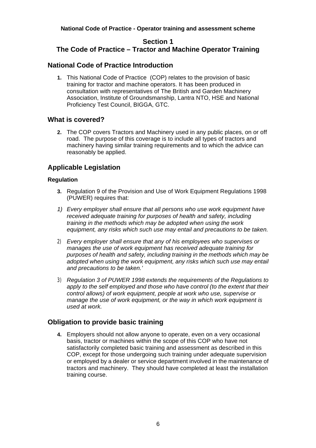## **Section 1 The Code of Practice – Tractor and Machine Operator Training**

## **National Code of Practice Introduction**

**1.** This National Code of Practice (COP) relates to the provision of basic training for tractor and machine operators. It has been produced in consultation with representatives of The British and Garden Machinery Association, Institute of Groundsmanship, Lantra NTO, HSE and National Proficiency Test Council, BIGGA, GTC.

## **What is covered?**

**2.** The COP covers Tractors and Machinery used in any public places, on or off road. The purpose of this coverage is to include all types of tractors and machinery having similar training requirements and to which the advice can reasonably be applied.

## **Applicable Legislation**

#### **Regulation**

- **3.** Regulation 9 of the Provision and Use of Work Equipment Regulations 1998 (PUWER) requires that:
- *1) Every employer shall ensure that all persons who use work equipment have received adequate training for purposes of health and safety, including training in the methods which may be adopted when using the work equipment, any risks which such use may entail and precautions to be taken.*
- 2) *Every employer shall ensure that any of his employees who supervises or manages the use of work equipment has received adequate training for purposes of health and safety, including training in the methods which may be adopted when using the work equipment, any risks which such use may entail and precautions to be taken.'*
- 3) *Regulation 3 of PUWER 1998 extends the requirements of the Regulations to apply to the self employed and those who have control (to the extent that their control allows) of work equipment, people at work who use, supervise or manage the use of work equipment, or the way in which work equipment is used at work.*

## **Obligation to provide basic training**

**4.** Employers should not allow anyone to operate, even on a very occasional basis, tractor or machines within the scope of this COP who have not satisfactorily completed basic training and assessment as described in this COP, except for those undergoing such training under adequate supervision or employed by a dealer or service department involved in the maintenance of tractors and machinery. They should have completed at least the installation training course.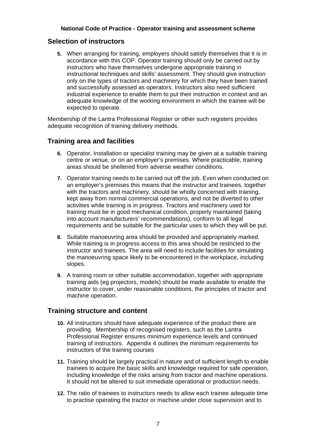#### **Selection of instructors**

**5.** When arranging for training, employers should satisfy themselves that it is in accordance with this COP. Operator training should only be carried out by instructors who have themselves undergone appropriate training in instructional techniques and skills' assessment. They should give instruction only on the types of tractors and machinery for which they have been trained and successfully assessed as operators. Instructors also need sufficient industrial experience to enable them to put their instruction in context and an adequate knowledge of the working environment in which the trainee will be expected to operate.

Membership of the Lantra Professional Register or other such registers provides adequate recognition of training delivery methods.

#### **Training area and facilities**

- **6.** Operator, Installation or specialist training may be given at a suitable training centre or venue, or on an employer's premises. Where practicable, training areas should be sheltered from adverse weather conditions.
- **7.** Operator training needs to be carried out off the job. Even when conducted on an employer's premises this means that the instructor and trainees, together with the tractors and machinery, should be wholly concerned with training, kept away from normal commercial operations, and not be diverted to other activities while training is in progress. Tractors and machinery used for training must be in good mechanical condition, properly maintained (taking into account manufacturers' recommendations), conform to all legal requirements and be suitable for the particular uses to which they will be put.
- **8.** Suitable manoeuvring area should be provided and appropriately marked. While training is in progress access to this area should be restricted to the instructor and trainees. The area will need to include facilities for simulating the manoeuvring space likely to be encountered in the workplace, including slopes.
- **9.** A training room or other suitable accommodation, together with appropriate training aids (eg projectors, models) should be made available to enable the instructor to cover, under reasonable conditions, the principles of tractor and machine operation.

#### **Training structure and content**

- **10.** All instructors should have adequate experience of the product there are providing. Membership of recognised registers, such as the Lantra Professional Register ensures minimum experience levels and continued training of instructors. Appendix 4 outlines the minimum requirements for instructors of the training courses
- **11.** Training should be largely practical in nature and of sufficient length to enable trainees to acquire the basic skills and knowledge required for safe operation, including knowledge of the risks arising from tractor and machine operations. It should not be altered to suit immediate operational or production needs.
- **12.** The ratio of trainees to instructors needs to allow each trainee adequate time to practise operating the tractor or machine under close supervision and to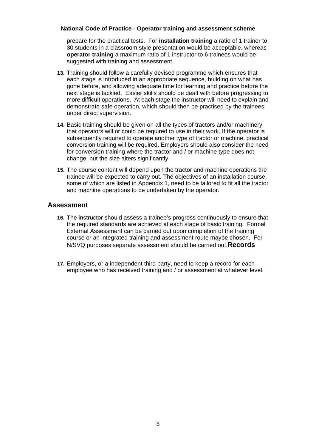prepare for the practical tests. For **installation training** a ratio of 1 trainer to 30 students in a classroom style presentation would be acceptable. whereas **operator training** a maximum ratio of 1 instructor to 6 trainees would be suggested with training and assessment.

- **13.** Training should follow a carefully devised programme which ensures that each stage is introduced in an appropriate sequence, building on what has gone before, and allowing adequate time for learning and practice before the next stage is tackled. Easier skills should be dealt with before progressing to more difficult operations. At each stage the instructor will need to explain and demonstrate safe operation, which should then be practised by the trainees under direct supervision.
- **14.** Basic training should be given on all the types of tractors and/or machinery that operators will or could be required to use in their work. If the operator is subsequently required to operate another type of tractor or machine, practical conversion training will be required. Employers should also consider the need for conversion training where the tractor and / or machine type does not change, but the size alters significantly.
- **15.** The course content will depend upon the tractor and machine operations the trainee will be expected to carry out. The objectives of an installation course, some of which are listed in Appendix 1, need to be tailored to fit all the tractor and machine operations to be undertaken by the operator.

#### **Assessment**

- **16.** The instructor should assess a trainee's progress continuously to ensure that the required standards are achieved at each stage of basic training. Formal External Assessment can be carried out upon completion of the training course or an integrated training and assessment route maybe chosen. For N/SVQ purposes separate assessment should be carried out.**Records**
- **17.** Employers, or a independent third party, need to keep a record for each employee who has received training and / or assessment at whatever level.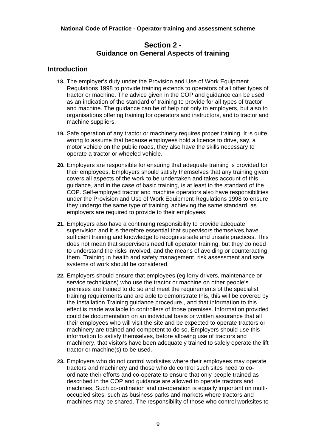## **Section 2 - Guidance on General Aspects of training**

## **Introduction**

- **18.** The employer's duty under the Provision and Use of Work Equipment Regulations 1998 to provide training extends to operators of all other types of tractor or machine. The advice given in the COP and guidance can be used as an indication of the standard of training to provide for all types of tractor and machine. The guidance can be of help not only to employers, but also to organisations offering training for operators and instructors, and to tractor and machine suppliers.
- **19.** Safe operation of any tractor or machinery requires proper training. It is quite wrong to assume that because employees hold a licence to drive, say, a motor vehicle on the public roads, they also have the skills necessary to operate a tractor or wheeled vehicle.
- **20.** Employers are responsible for ensuring that adequate training is provided for their employees. Employers should satisfy themselves that any training given covers all aspects of the work to be undertaken and takes account of this guidance, and in the case of basic training, is at least to the standard of the COP. Self-employed tractor and machine operators also have responsibilities under the Provision and Use of Work Equipment Regulations 1998 to ensure they undergo the same type of training, achieving the same standard, as employers are required to provide to their employees.
- **21.** Employers also have a continuing responsibility to provide adequate supervision and it is therefore essential that supervisors themselves have sufficient training and knowledge to recognise safe and unsafe practices. This does not mean that supervisors need full operator training, but they do need to understand the risks involved, and the means of avoiding or counteracting them. Training in health and safety management, risk assessment and safe systems of work should be considered.
- **22.** Employers should ensure that employees (eg lorry drivers, maintenance or service technicians) who use the tractor or machine on other people's premises are trained to do so and meet the requirements of the specialist training requirements and are able to demonstrate this, this will be covered by the Installation Training guidance procedure., and that information to this effect is made available to controllers of those premises. Information provided could be documentation on an individual basis or written assurance that all their employees who will visit the site and be expected to operate tractors or machinery are trained and competent to do so. Employers should use this information to satisfy themselves, before allowing use of tractors and machinery, that visitors have been adequately trained to safely operate the lift tractor or machine(s) to be used.
- **23.** Employers who do not control worksites where their employees may operate tractors and machinery and those who do control such sites need to coordinate their efforts and co-operate to ensure that only people trained as described in the COP and guidance are allowed to operate tractors and machines. Such co-ordination and co-operation is equally important on multioccupied sites, such as business parks and markets where tractors and machines may be shared. The responsibility of those who control worksites to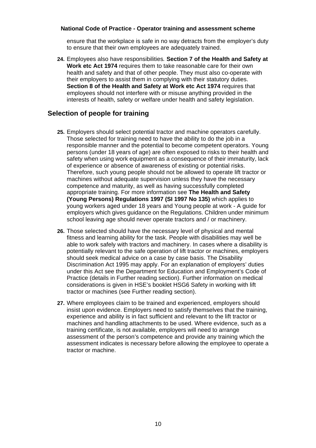ensure that the workplace is safe in no way detracts from the employer's duty to ensure that their own employees are adequately trained.

**24.** Employees also have responsibilities*.* **Section 7 of the Health and Safety at Work etc Act 1974** requires them to take reasonable care for their own health and safety and that of other people. They must also co-operate with their employers to assist them in complying with their statutory duties. **Section 8 of the Health and Safety at Work etc Act 1974** requires that employees should not interfere with or misuse anything provided in the interests of health, safety or welfare under health and safety legislation.

## **Selection of people for training**

- **25.** Employers should select potential tractor and machine operators carefully. Those selected for training need to have the ability to do the job in a responsible manner and the potential to become competent operators. Young persons (under 18 years of age) are often exposed to risks to their health and safety when using work equipment as a consequence of their immaturity, lack of experience or absence of awareness of existing or potential risks. Therefore, such young people should not be allowed to operate lift tractor or machines without adequate supervision unless they have the necessary competence and maturity, as well as having successfully completed appropriate training. For more information see **The Health and Safety (Young Persons) Regulations 1997 (SI 1997 No 135)** which applies to young workers aged under 18 years and Young people at work - A guide for employers which gives guidance on the Regulations. Children under minimum school leaving age should never operate tractors and / or machinery.
- **26.** Those selected should have the necessary level of physical and mental fitness and learning ability for the task. People with disabilities may well be able to work safely with tractors and machinery. In cases where a disability is potentially relevant to the safe operation of lift tractor or machines, employers should seek medical advice on a case by case basis. The Disability Discrimination Act 1995 may apply. For an explanation of employers' duties under this Act see the Department for Education and Employment's Code of Practice (details in Further reading section). Further information on medical considerations is given in HSE's booklet HSG6 Safety in working with lift tractor or machines (see Further reading section).
- **27.** Where employees claim to be trained and experienced, employers should insist upon evidence. Employers need to satisfy themselves that the training, experience and ability is in fact sufficient and relevant to the lift tractor or machines and handling attachments to be used. Where evidence, such as a training certificate, is not available, employers will need to arrange assessment of the person's competence and provide any training which the assessment indicates is necessary before allowing the employee to operate a tractor or machine.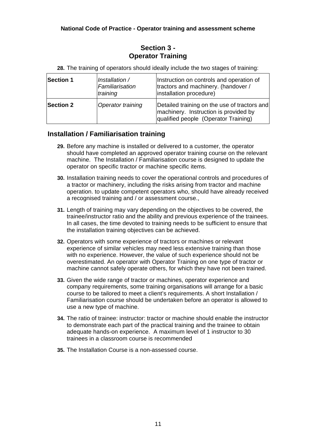## **Section 3 - Operator Training**

**28.** The training of operators should ideally include the two stages of training:

| <b>Section 1</b> | Installation /<br>Familiarisation<br>training | Instruction on controls and operation of<br>tractors and machinery. (handover /<br>installation procedure)                    |
|------------------|-----------------------------------------------|-------------------------------------------------------------------------------------------------------------------------------|
| <b>Section 2</b> | Operator training                             | Detailed training on the use of tractors and<br>machinery. Instruction is provided by<br>qualified people (Operator Training) |

## **Installation / Familiarisation training**

- **29.** Before any machine is installed or delivered to a customer, the operator should have completed an approved operator training course on the relevant machine. The Installation / Familiarisation course is designed to update the operator on specific tractor or machine specific items.
- **30.** Installation training needs to cover the operational controls and procedures of a tractor or machinery, including the risks arising from tractor and machine operation. to update competent operators who, should have already received a recognised training and / or assessment course.,
- **31.** Length of training may vary depending on the objectives to be covered, the trainee/instructor ratio and the ability and previous experience of the trainees. In all cases, the time devoted to training needs to be sufficient to ensure that the installation training objectives can be achieved.
- **32.** Operators with some experience of tractors or machines or relevant experience of similar vehicles may need less extensive training than those with no experience. However, the value of such experience should not be overestimated. An operator with Operator Training on one type of tractor or machine cannot safely operate others, for which they have not been trained.
- **33.** Given the wide range of tractor or machines, operator experience and company requirements, some training organisations will arrange for a basic course to be tailored to meet a client's requirements. A short Installation / Familiarisation course should be undertaken before an operator is allowed to use a new type of machine.
- **34.** The ratio of trainee: instructor: tractor or machine should enable the instructor to demonstrate each part of the practical training and the trainee to obtain adequate hands-on experience. A maximum level of 1 instructor to 30 trainees in a classroom course is recommended
- **35.** The Installation Course is a non-assessed course.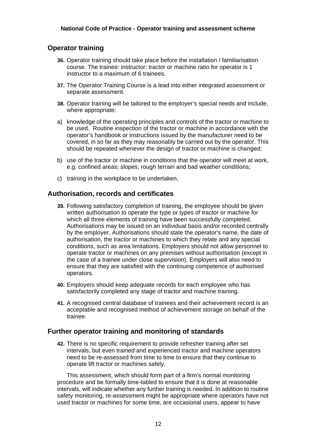## **Operator training**

- **36.** Operator training should take place before the installation / familiarisation course. The trainee: instructor: tractor or machine ratio for operator is 1 instructor to a maximum of 6 trainees.
- **37.** The Operator Training Course is a lead into either integrated assessment or separate assessment.
- **38.** Operator training will be tailored to the employer's special needs and include, where appropriate:
- a) knowledge of the operating principles and controls of the tractor or machine to be used. Routine inspection of the tractor or machine in accordance with the operator's handbook or instructions issued by the manufacturer need to be covered, in so far as they may reasonably be carried out by the operator. This should be repeated whenever the design of tractor or machine is changed;
- b) use of the tractor or machine in conditions that the operator will meet at work, e.g. confined areas; slopes; rough terrain and bad weather conditions;
- c) training in the workplace to be undertaken,

## **Authorisation, records and certificates**

- **39.** Following satisfactory completion of training, the employee should be given written authorisation to operate the type or types of tractor or machine for which all three elements of training have been successfully completed. Authorisations may be issued on an individual basis and/or recorded centrally by the employer. Authorisations should state the operator's name, the date of authorisation, the tractor or machines to which they relate and any special conditions, such as area limitations. Employers should not allow personnel to operate tractor or machines on any premises without authorisation (except in the case of a trainee under close supervision). Employers will also need to ensure that they are satisfied with the continuing competence of authorised operators.
- **40.** Employers should keep adequate records for each employee who has satisfactorily completed any stage of tractor and machine training.
- **41.** A recognised central database of trainees and their achievement record is an acceptable and recognised method of achievement storage on behalf of the trainee.

#### **Further operator training and monitoring of standards**

**42.** There is no specific requirement to provide refresher training after set intervals, but even trained and experienced tractor and machine operators need to be re-assessed from time to time to ensure that they continue to operate lift tractor or machines safely.

This assessment, which should form part of a firm's normal monitoring procedure and be formally time-tabled to ensure that it is done at reasonable intervals, will indicate whether any further training is needed. In addition to routine safety monitoring, re-assessment might be appropriate where operators have not used tractor or machines for some time, are occasional users, appear to have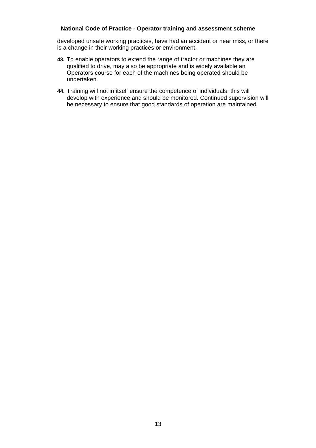developed unsafe working practices, have had an accident or near miss, or there is a change in their working practices or environment.

- **43.** To enable operators to extend the range of tractor or machines they are qualified to drive, may also be appropriate and is widely available an Operators course for each of the machines being operated should be undertaken.
- **44.** Training will not in itself ensure the competence of individuals: this will develop with experience and should be monitored. Continued supervision will be necessary to ensure that good standards of operation are maintained.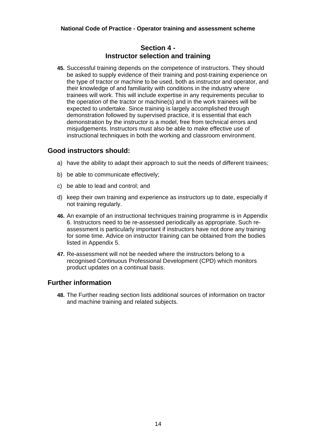## **Section 4 - Instructor selection and training**

**45.** Successful training depends on the competence of instructors. They should be asked to supply evidence of their training and post-training experience on the type of tractor or machine to be used, both as instructor and operator, and their knowledge of and familiarity with conditions in the industry where trainees will work. This will include expertise in any requirements peculiar to the operation of the tractor or machine(s) and in the work trainees will be expected to undertake. Since training is largely accomplished through demonstration followed by supervised practice, it is essential that each demonstration by the instructor is a model, free from technical errors and misjudgements. Instructors must also be able to make effective use of instructional techniques in both the working and classroom environment.

## **Good instructors should:**

- a) have the ability to adapt their approach to suit the needs of different trainees;
- b) be able to communicate effectively;
- c) be able to lead and control; and
- d) keep their own training and experience as instructors up to date, especially if not training regularly.
- **46.** An example of an instructional techniques training programme is in Appendix 6. Instructors need to be re-assessed periodically as appropriate. Such reassessment is particularly important if instructors have not done any training for some time. Advice on instructor training can be obtained from the bodies listed in Appendix 5.
- **47.** Re-assessment will not be needed where the instructors belong to a recognised Continuous Professional Development (CPD) which monitors product updates on a continual basis.

#### **Further information**

**48.** The Further reading section lists additional sources of information on tractor and machine training and related subjects.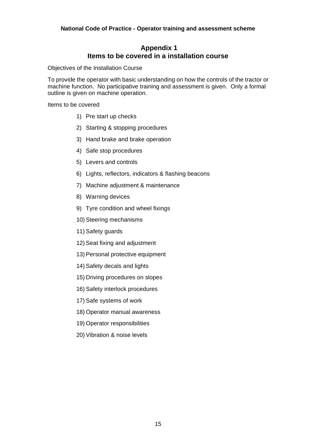## **Appendix 1 Items to be covered in a installation course**

Objectives of the Installation Course

To provide the operator with basic understanding on how the controls of the tractor or machine function. No participative training and assessment is given. Only a formal outline is given on machine operation.

Items to be covered

- 1) Pre start up checks
- 2) Starting & stopping procedures
- 3) Hand brake and brake operation
- 4) Safe stop procedures
- 5) Levers and controls
- 6) Lights, reflectors, indicators & flashing beacons
- 7) Machine adjustment & maintenance
- 8) Warning devices
- 9) Tyre condition and wheel fixings
- 10) Steering mechanisms
- 11) Safety guards
- 12) Seat fixing and adjustment
- 13) Personal protective equipment
- 14) Safety decals and lights
- 15) Driving procedures on slopes
- 16) Safety interlock procedures
- 17) Safe systems of work
- 18) Operator manual awareness
- 19) Operator responsibilities
- 20) Vibration & noise levels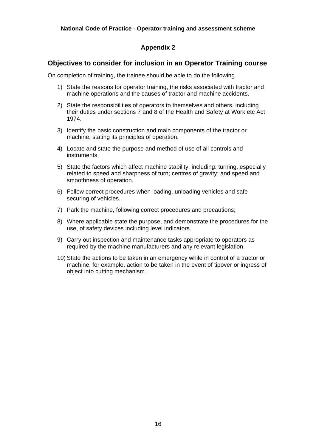## **Appendix 2**

## **Objectives to consider for inclusion in an Operator Training course**

On completion of training, the trainee should be able to do the following.

- 1) State the reasons for operator training, the risks associated with tractor and machine operations and the causes of tractor and machine accidents.
- 2) State the responsibilities of operators to themselves and others, including their duties under sections 7 and 8 of the Health and Safety at Work etc Act 1974.
- 3) Identify the basic construction and main components of the tractor or machine, stating its principles of operation.
- 4) Locate and state the purpose and method of use of all controls and instruments.
- 5) State the factors which affect machine stability, including: turning, especially related to speed and sharpness of turn; centres of gravity; and speed and smoothness of operation.
- 6) Follow correct procedures when loading, unloading vehicles and safe securing of vehicles.
- 7) Park the machine, following correct procedures and precautions;
- 8) Where applicable state the purpose, and demonstrate the procedures for the use, of safety devices including level indicators.
- 9) Carry out inspection and maintenance tasks appropriate to operators as required by the machine manufacturers and any relevant legislation.
- 10) State the actions to be taken in an emergency while in control of a tractor or machine, for example, action to be taken in the event of tipover or ingress of object into cutting mechanism.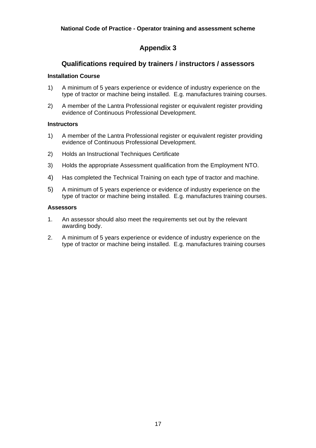## **Appendix 3**

## **Qualifications required by trainers / instructors / assessors**

#### **Installation Course**

- 1) A minimum of 5 years experience or evidence of industry experience on the type of tractor or machine being installed. E.g. manufactures training courses.
- 2) A member of the Lantra Professional register or equivalent register providing evidence of Continuous Professional Development.

#### **Instructors**

- 1) A member of the Lantra Professional register or equivalent register providing evidence of Continuous Professional Development.
- 2) Holds an Instructional Techniques Certificate
- 3) Holds the appropriate Assessment qualification from the Employment NTO.
- 4) Has completed the Technical Training on each type of tractor and machine.
- 5) A minimum of 5 years experience or evidence of industry experience on the type of tractor or machine being installed. E.g. manufactures training courses.

#### **Assessors**

- 1. An assessor should also meet the requirements set out by the relevant awarding body.
- 2. A minimum of 5 years experience or evidence of industry experience on the type of tractor or machine being installed. E.g. manufactures training courses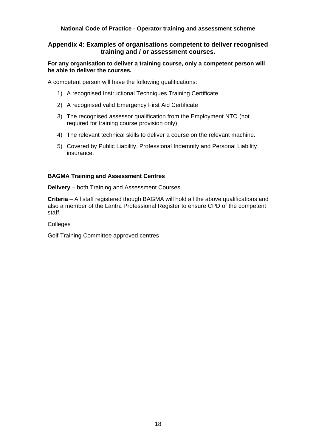#### **Appendix 4: Examples of organisations competent to deliver recognised training and / or assessment courses.**

#### **For any organisation to deliver a training course, only a competent person will be able to deliver the courses.**

A competent person will have the following qualifications:

- 1) A recognised Instructional Techniques Training Certificate
- 2) A recognised valid Emergency First Aid Certificate
- 3) The recognised assessor qualification from the Employment NTO (not required for training course provision only)
- 4) The relevant technical skills to deliver a course on the relevant machine.
- 5) Covered by Public Liability, Professional Indemnity and Personal Liability insurance.

#### **BAGMA Training and Assessment Centres**

**Delivery** – both Training and Assessment Courses.

**Criteria** – All staff registered though BAGMA will hold all the above qualifications and also a member of the Lantra Professional Register to ensure CPD of the competent staff.

Colleges

Golf Training Committee approved centres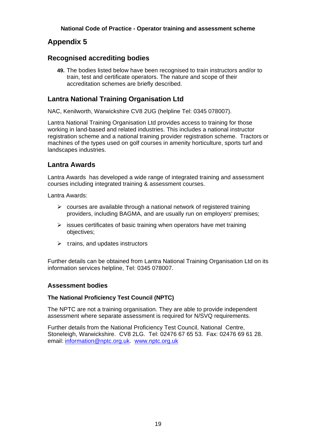## **Appendix 5**

## **Recognised accrediting bodies**

**49.** The bodies listed below have been recognised to train instructors and/or to train, test and certificate operators. The nature and scope of their accreditation schemes are briefly described.

## **Lantra National Training Organisation Ltd**

NAC, Kenilworth, Warwickshire CV8 2UG (helpline Tel: 0345 078007).

Lantra National Training Organisation Ltd provides access to training for those working in land-based and related industries. This includes a national instructor registration scheme and a national training provider registration scheme. Tractors or machines of the types used on golf courses in amenity horticulture, sports turf and landscapes industries.

## **Lantra Awards**

Lantra Awards has developed a wide range of integrated training and assessment courses including integrated training & assessment courses.

Lantra Awards:

- $\triangleright$  courses are available through a national network of registered training providers, including BAGMA, and are usually run on employers' premises;
- $\triangleright$  issues certificates of basic training when operators have met training objectives;
- $\triangleright$  trains, and updates instructors

Further details can be obtained from Lantra National Training Organisation Ltd on its information services helpline, Tel: 0345 078007.

#### **Assessment bodies**

#### **The National Proficiency Test Council (NPTC)**

The NPTC are not a training organisation. They are able to provide independent assessment where separate assessment is required for N/SVQ requirements.

Further details from the National Proficiency Test Council, National Centre, Stoneleigh, Warwickshire. CV8 2LG. Tel: 02476 67 65 53. Fax: 02476 69 61 28. email: information@nptc.org.uk. www.nptc.org.uk